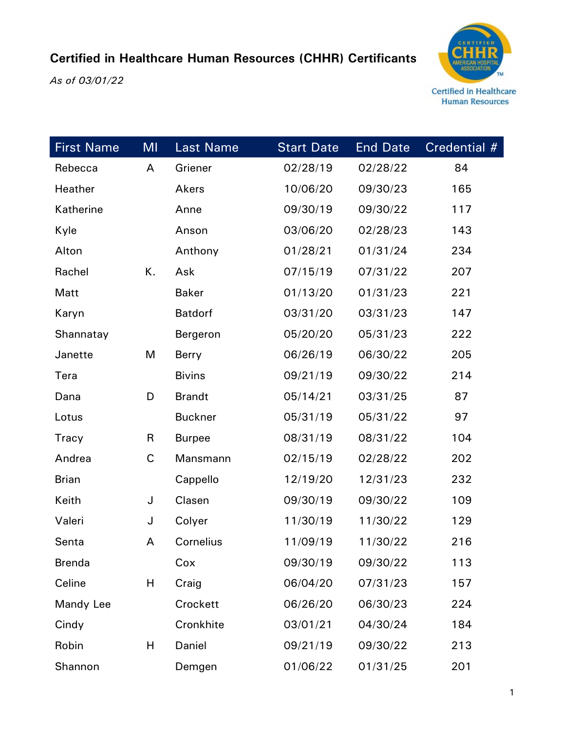*As of 03/01/22*



| <b>First Name</b> | MI | <b>Last Name</b> | <b>Start Date</b> | <b>End Date</b> | Credential # |
|-------------------|----|------------------|-------------------|-----------------|--------------|
| Rebecca           | A  | Griener          | 02/28/19          | 02/28/22        | 84           |
| Heather           |    | Akers            | 10/06/20          | 09/30/23        | 165          |
| Katherine         |    | Anne             | 09/30/19          | 09/30/22        | 117          |
| Kyle              |    | Anson            | 03/06/20          | 02/28/23        | 143          |
| Alton             |    | Anthony          | 01/28/21          | 01/31/24        | 234          |
| Rachel            | К. | Ask              | 07/15/19          | 07/31/22        | 207          |
| Matt              |    | <b>Baker</b>     | 01/13/20          | 01/31/23        | 221          |
| Karyn             |    | <b>Batdorf</b>   | 03/31/20          | 03/31/23        | 147          |
| Shannatay         |    | Bergeron         | 05/20/20          | 05/31/23        | 222          |
| Janette           | M  | Berry            | 06/26/19          | 06/30/22        | 205          |
| Tera              |    | <b>Bivins</b>    | 09/21/19          | 09/30/22        | 214          |
| Dana              | D  | <b>Brandt</b>    | 05/14/21          | 03/31/25        | 87           |
| Lotus             |    | <b>Buckner</b>   | 05/31/19          | 05/31/22        | 97           |
| Tracy             | R  | <b>Burpee</b>    | 08/31/19          | 08/31/22        | 104          |
| Andrea            | C  | Mansmann         | 02/15/19          | 02/28/22        | 202          |
| <b>Brian</b>      |    | Cappello         | 12/19/20          | 12/31/23        | 232          |
| Keith             | J  | Clasen           | 09/30/19          | 09/30/22        | 109          |
| Valeri            | J  | Colyer           | 11/30/19          | 11/30/22        | 129          |
| Senta             | A  | Cornelius        | 11/09/19          | 11/30/22        | 216          |
| <b>Brenda</b>     |    | Cox              | 09/30/19          | 09/30/22        | 113          |
| Celine            | Н  | Craig            | 06/04/20          | 07/31/23        | 157          |
| Mandy Lee         |    | Crockett         | 06/26/20          | 06/30/23        | 224          |
| Cindy             |    | Cronkhite        | 03/01/21          | 04/30/24        | 184          |
| Robin             | Н  | Daniel           | 09/21/19          | 09/30/22        | 213          |
| Shannon           |    | Demgen           | 01/06/22          | 01/31/25        | 201          |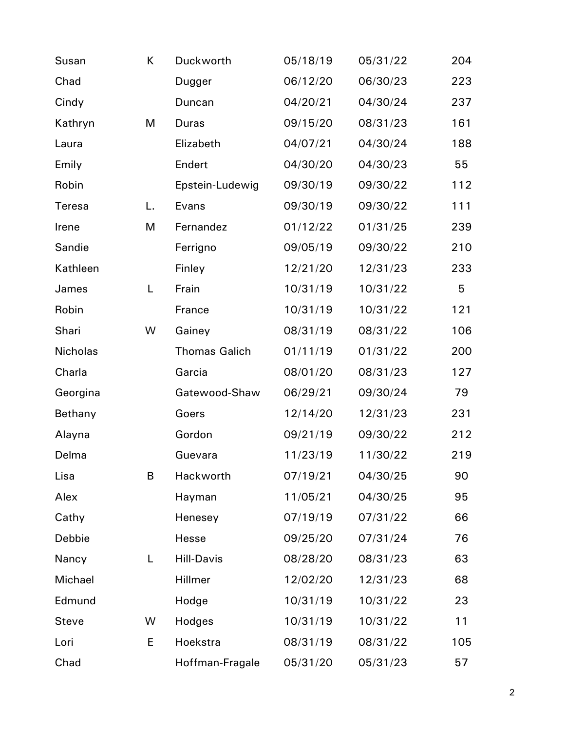| Susan           | K  | Duckworth            | 05/18/19 | 05/31/22 | 204 |
|-----------------|----|----------------------|----------|----------|-----|
| Chad            |    | Dugger               | 06/12/20 | 06/30/23 | 223 |
| Cindy           |    | Duncan               | 04/20/21 | 04/30/24 | 237 |
| Kathryn         | M  | <b>Duras</b>         | 09/15/20 | 08/31/23 | 161 |
| Laura           |    | Elizabeth            | 04/07/21 | 04/30/24 | 188 |
| Emily           |    | Endert               | 04/30/20 | 04/30/23 | 55  |
| Robin           |    | Epstein-Ludewig      | 09/30/19 | 09/30/22 | 112 |
| Teresa          | L. | Evans                | 09/30/19 | 09/30/22 | 111 |
| Irene           | M  | Fernandez            | 01/12/22 | 01/31/25 | 239 |
| Sandie          |    | Ferrigno             | 09/05/19 | 09/30/22 | 210 |
| Kathleen        |    | Finley               | 12/21/20 | 12/31/23 | 233 |
| James           | L  | Frain                | 10/31/19 | 10/31/22 | 5   |
| Robin           |    | France               | 10/31/19 | 10/31/22 | 121 |
| Shari           | W  | Gainey               | 08/31/19 | 08/31/22 | 106 |
| <b>Nicholas</b> |    | <b>Thomas Galich</b> | 01/11/19 | 01/31/22 | 200 |
| Charla          |    | Garcia               | 08/01/20 | 08/31/23 | 127 |
| Georgina        |    | Gatewood-Shaw        | 06/29/21 | 09/30/24 | 79  |
| Bethany         |    | Goers                | 12/14/20 | 12/31/23 | 231 |
| Alayna          |    | Gordon               | 09/21/19 | 09/30/22 | 212 |
| Delma           |    | Guevara              | 11/23/19 | 11/30/22 | 219 |
| Lisa            | B  | Hackworth            | 07/19/21 | 04/30/25 | 90  |
| Alex            |    | Hayman               | 11/05/21 | 04/30/25 | 95  |
| Cathy           |    | Henesey              | 07/19/19 | 07/31/22 | 66  |
| Debbie          |    | Hesse                | 09/25/20 | 07/31/24 | 76  |
| Nancy           | L  | <b>Hill-Davis</b>    | 08/28/20 | 08/31/23 | 63  |
| Michael         |    | Hillmer              | 12/02/20 | 12/31/23 | 68  |
| Edmund          |    | Hodge                | 10/31/19 | 10/31/22 | 23  |
| <b>Steve</b>    | W  | Hodges               | 10/31/19 | 10/31/22 | 11  |
| Lori            | Ε  | Hoekstra             | 08/31/19 | 08/31/22 | 105 |
| Chad            |    | Hoffman-Fragale      | 05/31/20 | 05/31/23 | 57  |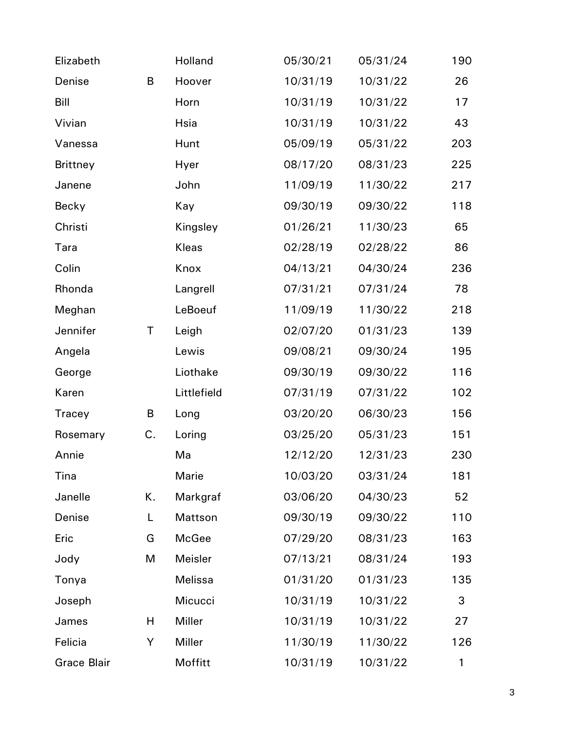| Elizabeth          |    | Holland     | 05/30/21 | 05/31/24 | 190 |
|--------------------|----|-------------|----------|----------|-----|
| Denise             | B  | Hoover      | 10/31/19 | 10/31/22 | 26  |
| Bill               |    | Horn        | 10/31/19 | 10/31/22 | 17  |
| Vivian             |    | Hsia        | 10/31/19 | 10/31/22 | 43  |
| Vanessa            |    | Hunt        | 05/09/19 | 05/31/22 | 203 |
| <b>Brittney</b>    |    | Hyer        | 08/17/20 | 08/31/23 | 225 |
| Janene             |    | John        | 11/09/19 | 11/30/22 | 217 |
| Becky              |    | Kay         | 09/30/19 | 09/30/22 | 118 |
| Christi            |    | Kingsley    | 01/26/21 | 11/30/23 | 65  |
| Tara               |    | Kleas       | 02/28/19 | 02/28/22 | 86  |
| Colin              |    | Knox        | 04/13/21 | 04/30/24 | 236 |
| Rhonda             |    | Langrell    | 07/31/21 | 07/31/24 | 78  |
| Meghan             |    | LeBoeuf     | 11/09/19 | 11/30/22 | 218 |
| Jennifer           | Τ  | Leigh       | 02/07/20 | 01/31/23 | 139 |
| Angela             |    | Lewis       | 09/08/21 | 09/30/24 | 195 |
| George             |    | Liothake    | 09/30/19 | 09/30/22 | 116 |
| Karen              |    | Littlefield | 07/31/19 | 07/31/22 | 102 |
| Tracey             | B  | Long        | 03/20/20 | 06/30/23 | 156 |
| Rosemary           | C. | Loring      | 03/25/20 | 05/31/23 | 151 |
| Annie              |    | Ma          | 12/12/20 | 12/31/23 | 230 |
| Tina               |    | Marie       | 10/03/20 | 03/31/24 | 181 |
| Janelle            | Κ. | Markgraf    | 03/06/20 | 04/30/23 | 52  |
| Denise             | L  | Mattson     | 09/30/19 | 09/30/22 | 110 |
| Eric               | G  | McGee       | 07/29/20 | 08/31/23 | 163 |
| Jody               | M  | Meisler     | 07/13/21 | 08/31/24 | 193 |
| Tonya              |    | Melissa     | 01/31/20 | 01/31/23 | 135 |
| Joseph             |    | Micucci     | 10/31/19 | 10/31/22 | 3   |
| James              | H  | Miller      | 10/31/19 | 10/31/22 | 27  |
| Felicia            | Y  | Miller      | 11/30/19 | 11/30/22 | 126 |
| <b>Grace Blair</b> |    | Moffitt     | 10/31/19 | 10/31/22 | 1   |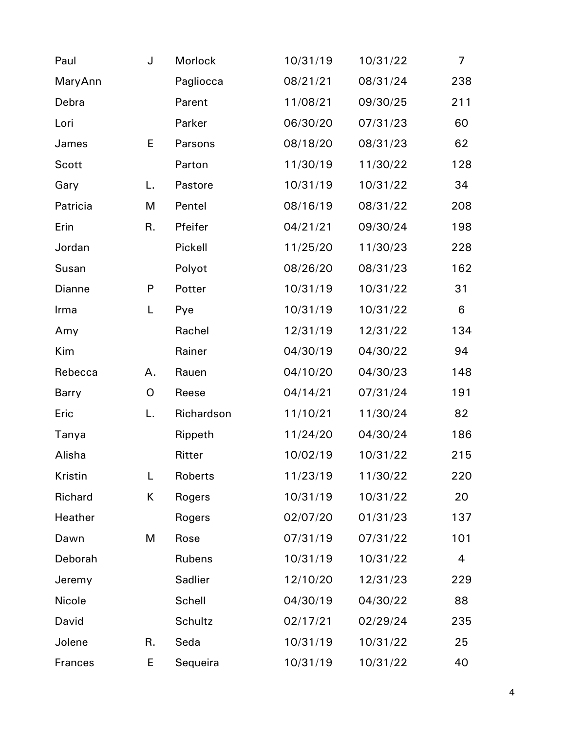| Paul           | J            | Morlock        | 10/31/19 | 10/31/22 | $\overline{7}$ |
|----------------|--------------|----------------|----------|----------|----------------|
| MaryAnn        |              | Pagliocca      | 08/21/21 | 08/31/24 | 238            |
| Debra          |              | Parent         | 11/08/21 | 09/30/25 | 211            |
| Lori           |              | Parker         | 06/30/20 | 07/31/23 | 60             |
| James          | E            | Parsons        | 08/18/20 | 08/31/23 | 62             |
| Scott          |              | Parton         | 11/30/19 | 11/30/22 | 128            |
| Gary           | L.           | Pastore        | 10/31/19 | 10/31/22 | 34             |
| Patricia       | M            | Pentel         | 08/16/19 | 08/31/22 | 208            |
| Erin           | R.           | Pfeifer        | 04/21/21 | 09/30/24 | 198            |
| Jordan         |              | Pickell        | 11/25/20 | 11/30/23 | 228            |
| Susan          |              | Polyot         | 08/26/20 | 08/31/23 | 162            |
| Dianne         | $\mathsf{P}$ | Potter         | 10/31/19 | 10/31/22 | 31             |
| Irma           | L            | Pye            | 10/31/19 | 10/31/22 | $\,6\,$        |
| Amy            |              | Rachel         | 12/31/19 | 12/31/22 | 134            |
| Kim            |              | Rainer         | 04/30/19 | 04/30/22 | 94             |
| Rebecca        | Α.           | Rauen          | 04/10/20 | 04/30/23 | 148            |
| Barry          | O            | Reese          | 04/14/21 | 07/31/24 | 191            |
| Eric           | L.           | Richardson     | 11/10/21 | 11/30/24 | 82             |
| Tanya          |              | Rippeth        | 11/24/20 | 04/30/24 | 186            |
| Alisha         |              | Ritter         | 10/02/19 | 10/31/22 | 215            |
| Kristin        | L            | Roberts        | 11/23/19 | 11/30/22 | 220            |
| Richard        | K            | Rogers         | 10/31/19 | 10/31/22 | 20             |
| Heather        |              | Rogers         | 02/07/20 | 01/31/23 | 137            |
| Dawn           | M            | Rose           | 07/31/19 | 07/31/22 | 101            |
| Deborah        |              | <b>Rubens</b>  | 10/31/19 | 10/31/22 | 4              |
| Jeremy         |              | <b>Sadlier</b> | 12/10/20 | 12/31/23 | 229            |
| Nicole         |              | Schell         | 04/30/19 | 04/30/22 | 88             |
| David          |              | Schultz        | 02/17/21 | 02/29/24 | 235            |
| Jolene         | R.           | Seda           | 10/31/19 | 10/31/22 | 25             |
| <b>Frances</b> | Е            | Sequeira       | 10/31/19 | 10/31/22 | 40             |